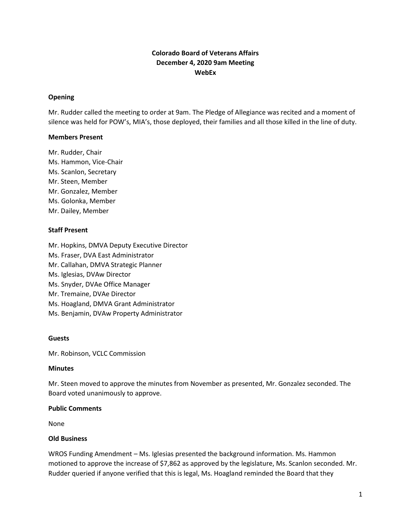# **Colorado Board of Veterans Affairs December 4, 2020 9am Meeting WebEx**

#### **Opening**

Mr. Rudder called the meeting to order at 9am. The Pledge of Allegiance was recited and a moment of silence was held for POW's, MIA's, those deployed, their families and all those killed in the line of duty.

#### **Members Present**

Mr. Rudder, Chair Ms. Hammon, Vice-Chair Ms. Scanlon, Secretary Mr. Steen, Member Mr. Gonzalez, Member Ms. Golonka, Member Mr. Dailey, Member

#### **Staff Present**

Mr. Hopkins, DMVA Deputy Executive Director Ms. Fraser, DVA East Administrator Mr. Callahan, DMVA Strategic Planner Ms. Iglesias, DVAw Director Ms. Snyder, DVAe Office Manager Mr. Tremaine, DVAe Director Ms. Hoagland, DMVA Grant Administrator Ms. Benjamin, DVAw Property Administrator

# **Guests**

Mr. Robinson, VCLC Commission

#### **Minutes**

Mr. Steen moved to approve the minutes from November as presented, Mr. Gonzalez seconded. The Board voted unanimously to approve.

#### **Public Comments**

None

# **Old Business**

WROS Funding Amendment – Ms. Iglesias presented the background information. Ms. Hammon motioned to approve the increase of \$7,862 as approved by the legislature, Ms. Scanlon seconded. Mr. Rudder queried if anyone verified that this is legal, Ms. Hoagland reminded the Board that they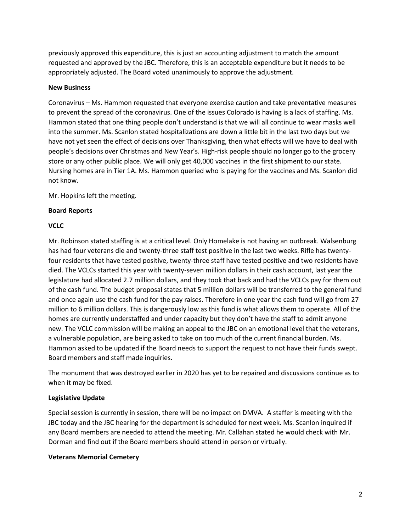previously approved this expenditure, this is just an accounting adjustment to match the amount requested and approved by the JBC. Therefore, this is an acceptable expenditure but it needs to be appropriately adjusted. The Board voted unanimously to approve the adjustment.

#### **New Business**

Coronavirus – Ms. Hammon requested that everyone exercise caution and take preventative measures to prevent the spread of the coronavirus. One of the issues Colorado is having is a lack of staffing. Ms. Hammon stated that one thing people don't understand is that we will all continue to wear masks well into the summer. Ms. Scanlon stated hospitalizations are down a little bit in the last two days but we have not yet seen the effect of decisions over Thanksgiving, then what effects will we have to deal with people's decisions over Christmas and New Year's. High-risk people should no longer go to the grocery store or any other public place. We will only get 40,000 vaccines in the first shipment to our state. Nursing homes are in Tier 1A. Ms. Hammon queried who is paying for the vaccines and Ms. Scanlon did not know.

Mr. Hopkins left the meeting.

# **Board Reports**

# **VCLC**

Mr. Robinson stated staffing is at a critical level. Only Homelake is not having an outbreak. Walsenburg has had four veterans die and twenty-three staff test positive in the last two weeks. Rifle has twentyfour residents that have tested positive, twenty-three staff have tested positive and two residents have died. The VCLCs started this year with twenty-seven million dollars in their cash account, last year the legislature had allocated 2.7 million dollars, and they took that back and had the VCLCs pay for them out of the cash fund. The budget proposal states that 5 million dollars will be transferred to the general fund and once again use the cash fund for the pay raises. Therefore in one year the cash fund will go from 27 million to 6 million dollars. This is dangerously low as this fund is what allows them to operate. All of the homes are currently understaffed and under capacity but they don't have the staff to admit anyone new. The VCLC commission will be making an appeal to the JBC on an emotional level that the veterans, a vulnerable population, are being asked to take on too much of the current financial burden. Ms. Hammon asked to be updated if the Board needs to support the request to not have their funds swept. Board members and staff made inquiries.

The monument that was destroyed earlier in 2020 has yet to be repaired and discussions continue as to when it may be fixed.

# **Legislative Update**

Special session is currently in session, there will be no impact on DMVA. A staffer is meeting with the JBC today and the JBC hearing for the department is scheduled for next week. Ms. Scanlon inquired if any Board members are needed to attend the meeting. Mr. Callahan stated he would check with Mr. Dorman and find out if the Board members should attend in person or virtually.

#### **Veterans Memorial Cemetery**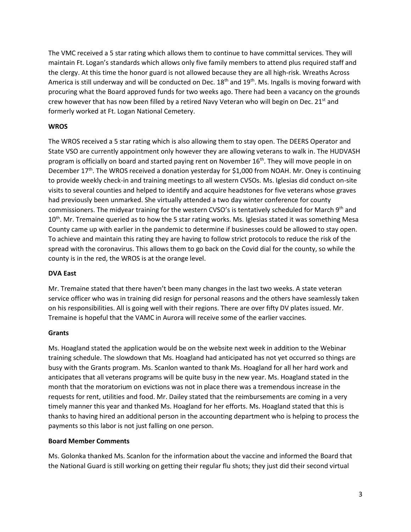The VMC received a 5 star rating which allows them to continue to have committal services. They will maintain Ft. Logan's standards which allows only five family members to attend plus required staff and the clergy. At this time the honor guard is not allowed because they are all high-risk. Wreaths Across America is still underway and will be conducted on Dec. 18<sup>th</sup> and 19<sup>th</sup>. Ms. Ingalls is moving forward with procuring what the Board approved funds for two weeks ago. There had been a vacancy on the grounds crew however that has now been filled by a retired Navy Veteran who will begin on Dec.  $21<sup>st</sup>$  and formerly worked at Ft. Logan National Cemetery.

# **WROS**

The WROS received a 5 star rating which is also allowing them to stay open. The DEERS Operator and State VSO are currently appointment only however they are allowing veterans to walk in. The HUDVASH program is officially on board and started paying rent on November 16<sup>th</sup>. They will move people in on December  $17<sup>th</sup>$ . The WROS received a donation yesterday for \$1,000 from NOAH. Mr. Oney is continuing to provide weekly check-in and training meetings to all western CVSOs. Ms. Iglesias did conduct on-site visits to several counties and helped to identify and acquire headstones for five veterans whose graves had previously been unmarked. She virtually attended a two day winter conference for county commissioners. The midyear training for the western CVSO's is tentatively scheduled for March 9th and 10<sup>th</sup>. Mr. Tremaine queried as to how the 5 star rating works. Ms. Iglesias stated it was something Mesa County came up with earlier in the pandemic to determine if businesses could be allowed to stay open. To achieve and maintain this rating they are having to follow strict protocols to reduce the risk of the spread with the coronavirus. This allows them to go back on the Covid dial for the county, so while the county is in the red, the WROS is at the orange level.

# **DVA East**

Mr. Tremaine stated that there haven't been many changes in the last two weeks. A state veteran service officer who was in training did resign for personal reasons and the others have seamlessly taken on his responsibilities. All is going well with their regions. There are over fifty DV plates issued. Mr. Tremaine is hopeful that the VAMC in Aurora will receive some of the earlier vaccines.

# **Grants**

Ms. Hoagland stated the application would be on the website next week in addition to the Webinar training schedule. The slowdown that Ms. Hoagland had anticipated has not yet occurred so things are busy with the Grants program. Ms. Scanlon wanted to thank Ms. Hoagland for all her hard work and anticipates that all veterans programs will be quite busy in the new year. Ms. Hoagland stated in the month that the moratorium on evictions was not in place there was a tremendous increase in the requests for rent, utilities and food. Mr. Dailey stated that the reimbursements are coming in a very timely manner this year and thanked Ms. Hoagland for her efforts. Ms. Hoagland stated that this is thanks to having hired an additional person in the accounting department who is helping to process the payments so this labor is not just falling on one person.

# **Board Member Comments**

Ms. Golonka thanked Ms. Scanlon for the information about the vaccine and informed the Board that the National Guard is still working on getting their regular flu shots; they just did their second virtual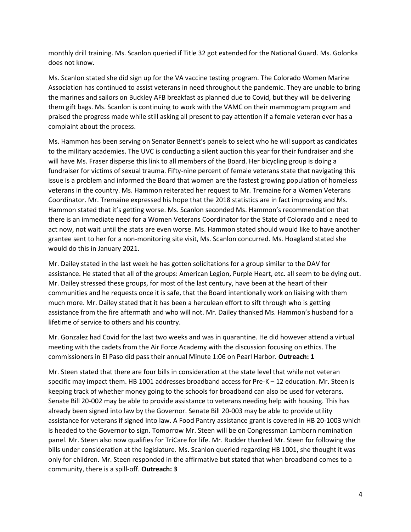monthly drill training. Ms. Scanlon queried if Title 32 got extended for the National Guard. Ms. Golonka does not know.

Ms. Scanlon stated she did sign up for the VA vaccine testing program. The Colorado Women Marine Association has continued to assist veterans in need throughout the pandemic. They are unable to bring the marines and sailors on Buckley AFB breakfast as planned due to Covid, but they will be delivering them gift bags. Ms. Scanlon is continuing to work with the VAMC on their mammogram program and praised the progress made while still asking all present to pay attention if a female veteran ever has a complaint about the process.

Ms. Hammon has been serving on Senator Bennett's panels to select who he will support as candidates to the military academies. The UVC is conducting a silent auction this year for their fundraiser and she will have Ms. Fraser disperse this link to all members of the Board. Her bicycling group is doing a fundraiser for victims of sexual trauma. Fifty-nine percent of female veterans state that navigating this issue is a problem and informed the Board that women are the fastest growing population of homeless veterans in the country. Ms. Hammon reiterated her request to Mr. Tremaine for a Women Veterans Coordinator. Mr. Tremaine expressed his hope that the 2018 statistics are in fact improving and Ms. Hammon stated that it's getting worse. Ms. Scanlon seconded Ms. Hammon's recommendation that there is an immediate need for a Women Veterans Coordinator for the State of Colorado and a need to act now, not wait until the stats are even worse. Ms. Hammon stated should would like to have another grantee sent to her for a non-monitoring site visit, Ms. Scanlon concurred. Ms. Hoagland stated she would do this in January 2021.

Mr. Dailey stated in the last week he has gotten solicitations for a group similar to the DAV for assistance. He stated that all of the groups: American Legion, Purple Heart, etc. all seem to be dying out. Mr. Dailey stressed these groups, for most of the last century, have been at the heart of their communities and he requests once it is safe, that the Board intentionally work on liaising with them much more. Mr. Dailey stated that it has been a herculean effort to sift through who is getting assistance from the fire aftermath and who will not. Mr. Dailey thanked Ms. Hammon's husband for a lifetime of service to others and his country.

Mr. Gonzalez had Covid for the last two weeks and was in quarantine. He did however attend a virtual meeting with the cadets from the Air Force Academy with the discussion focusing on ethics. The commissioners in El Paso did pass their annual Minute 1:06 on Pearl Harbor. **Outreach: 1**

Mr. Steen stated that there are four bills in consideration at the state level that while not veteran specific may impact them. HB 1001 addresses broadband access for Pre-K – 12 education. Mr. Steen is keeping track of whether money going to the schools for broadband can also be used for veterans. Senate Bill 20-002 may be able to provide assistance to veterans needing help with housing. This has already been signed into law by the Governor. Senate Bill 20-003 may be able to provide utility assistance for veterans if signed into law. A Food Pantry assistance grant is covered in HB 20-1003 which is headed to the Governor to sign. Tomorrow Mr. Steen will be on Congressman Lamborn nomination panel. Mr. Steen also now qualifies for TriCare for life. Mr. Rudder thanked Mr. Steen for following the bills under consideration at the legislature. Ms. Scanlon queried regarding HB 1001, she thought it was only for children. Mr. Steen responded in the affirmative but stated that when broadband comes to a community, there is a spill-off. **Outreach: 3**